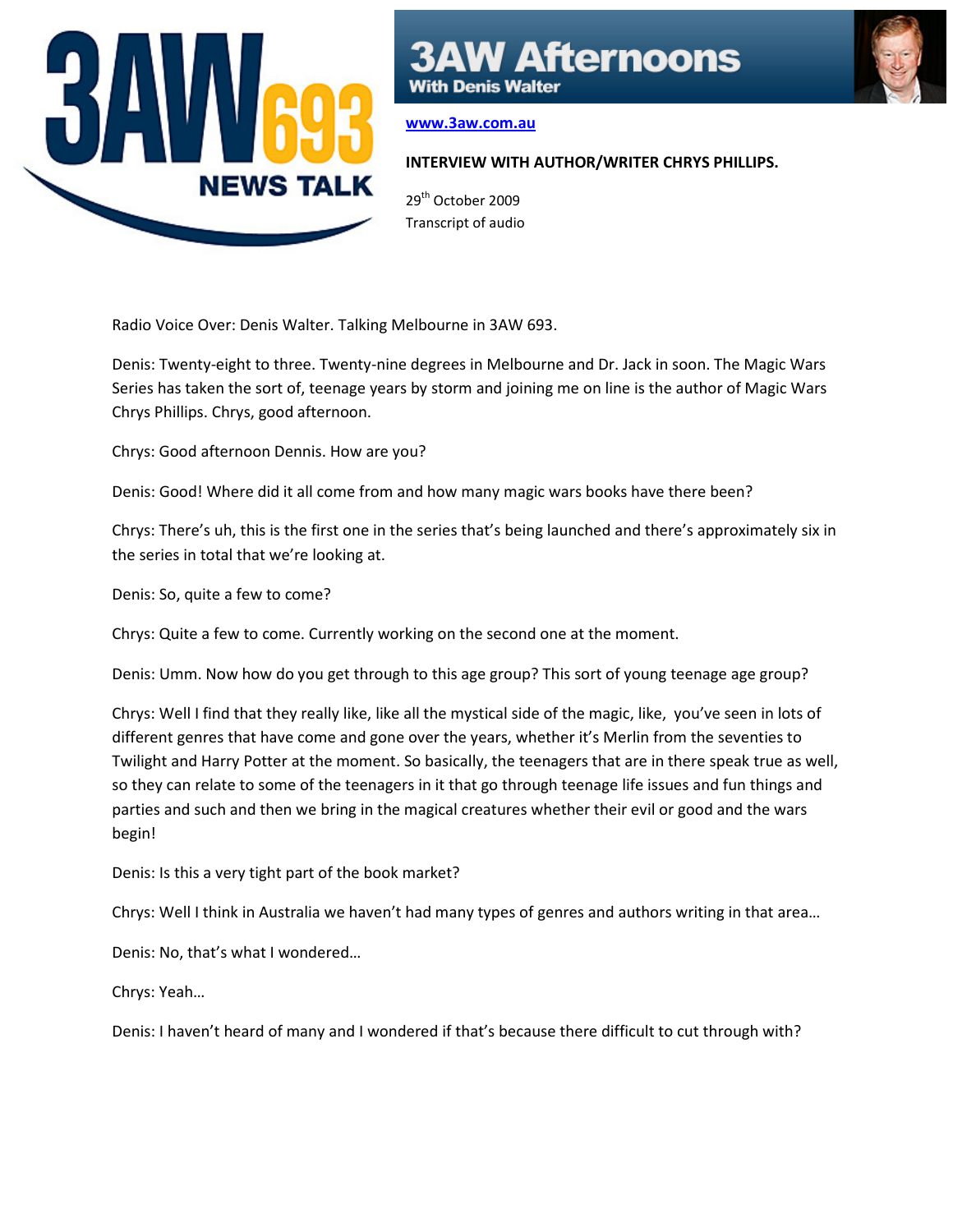

## **Afternoons**

**With Denis Walter** 

## www.3aw.com.au

## INTERVIEW WITH AUTHOR/WRITER CHRYS PHILLIPS.

29<sup>th</sup> October 2009 Transcript of audio

Radio Voice Over: Denis Walter. Talking Melbourne in 3AW 693.

Denis: Twenty-eight to three. Twenty-nine degrees in Melbourne and Dr. Jack in soon. The Magic Wars Series has taken the sort of, teenage years by storm and joining me on line is the author of Magic Wars Chrys Phillips. Chrys, good afternoon.

Chrys: Good afternoon Dennis. How are you?

Denis: Good! Where did it all come from and how many magic wars books have there been?

Chrys: There's uh, this is the first one in the series that's being launched and there's approximately six in the series in total that we're looking at.

Denis: So, quite a few to come?

Chrys: Quite a few to come. Currently working on the second one at the moment.

Denis: Umm. Now how do you get through to this age group? This sort of young teenage age group?

Chrys: Well I find that they really like, like all the mystical side of the magic, like, you've seen in lots of different genres that have come and gone over the years, whether it's Merlin from the seventies to Twilight and Harry Potter at the moment. So basically, the teenagers that are in there speak true as well, so they can relate to some of the teenagers in it that go through teenage life issues and fun things and parties and such and then we bring in the magical creatures whether their evil or good and the wars begin!

Denis: Is this a very tight part of the book market?

Chrys: Well I think in Australia we haven't had many types of genres and authors writing in that area…

Denis: No, that's what I wondered…

Chrys: Yeah…

Denis: I haven't heard of many and I wondered if that's because there difficult to cut through with?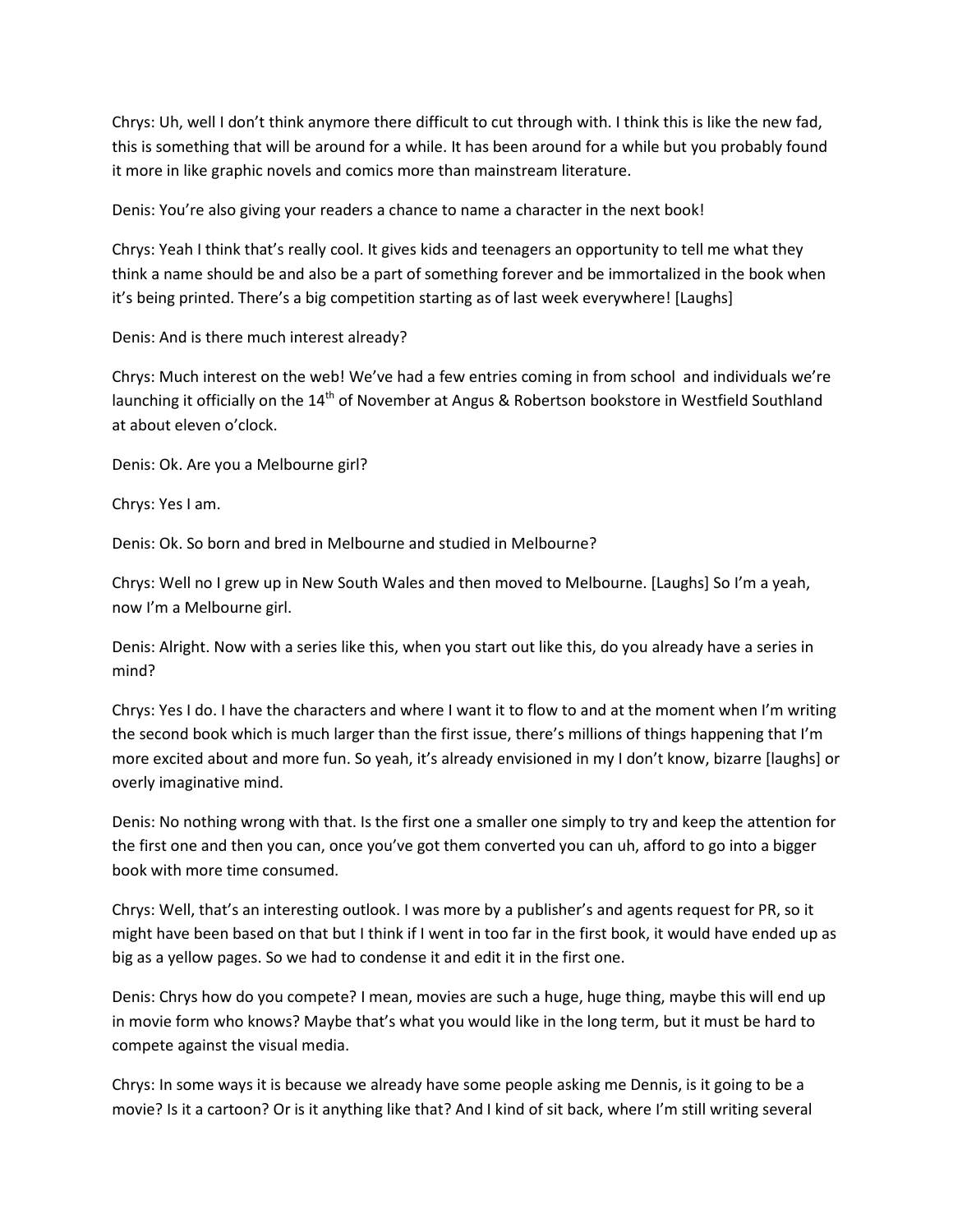Chrys: Uh, well I don't think anymore there difficult to cut through with. I think this is like the new fad, this is something that will be around for a while. It has been around for a while but you probably found it more in like graphic novels and comics more than mainstream literature.

Denis: You're also giving your readers a chance to name a character in the next book!

Chrys: Yeah I think that's really cool. It gives kids and teenagers an opportunity to tell me what they think a name should be and also be a part of something forever and be immortalized in the book when it's being printed. There's a big competition starting as of last week everywhere! [Laughs]

Denis: And is there much interest already?

Chrys: Much interest on the web! We've had a few entries coming in from school and individuals we're launching it officially on the 14<sup>th</sup> of November at Angus & Robertson bookstore in Westfield Southland at about eleven o'clock.

Denis: Ok. Are you a Melbourne girl?

Chrys: Yes I am.

Denis: Ok. So born and bred in Melbourne and studied in Melbourne?

Chrys: Well no I grew up in New South Wales and then moved to Melbourne. [Laughs] So I'm a yeah, now I'm a Melbourne girl.

Denis: Alright. Now with a series like this, when you start out like this, do you already have a series in mind?

Chrys: Yes I do. I have the characters and where I want it to flow to and at the moment when I'm writing the second book which is much larger than the first issue, there's millions of things happening that I'm more excited about and more fun. So yeah, it's already envisioned in my I don't know, bizarre [laughs] or overly imaginative mind.

Denis: No nothing wrong with that. Is the first one a smaller one simply to try and keep the attention for the first one and then you can, once you've got them converted you can uh, afford to go into a bigger book with more time consumed.

Chrys: Well, that's an interesting outlook. I was more by a publisher's and agents request for PR, so it might have been based on that but I think if I went in too far in the first book, it would have ended up as big as a yellow pages. So we had to condense it and edit it in the first one.

Denis: Chrys how do you compete? I mean, movies are such a huge, huge thing, maybe this will end up in movie form who knows? Maybe that's what you would like in the long term, but it must be hard to compete against the visual media.

Chrys: In some ways it is because we already have some people asking me Dennis, is it going to be a movie? Is it a cartoon? Or is it anything like that? And I kind of sit back, where I'm still writing several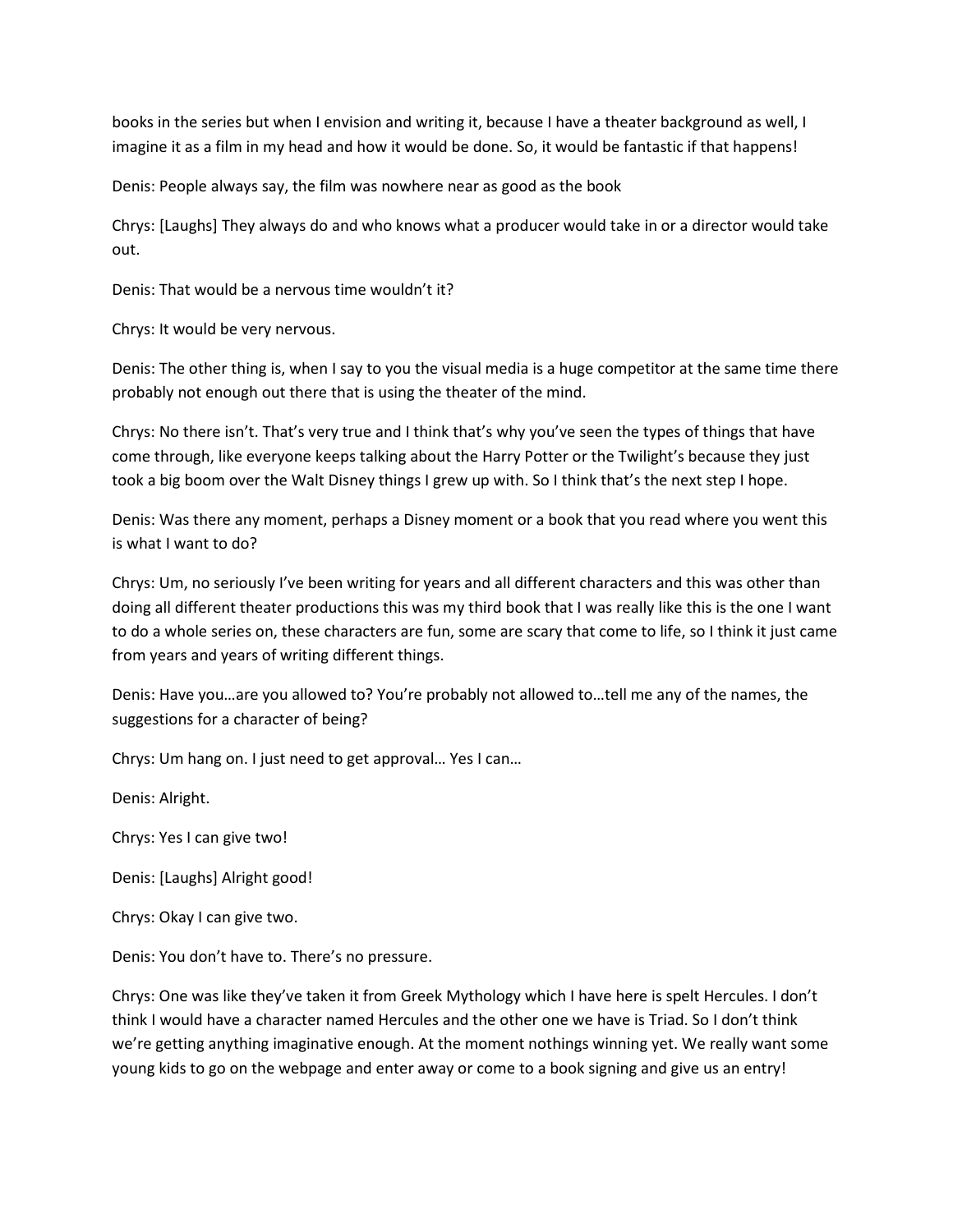books in the series but when I envision and writing it, because I have a theater background as well, I imagine it as a film in my head and how it would be done. So, it would be fantastic if that happens!

Denis: People always say, the film was nowhere near as good as the book

Chrys: [Laughs] They always do and who knows what a producer would take in or a director would take out.

Denis: That would be a nervous time wouldn't it?

Chrys: It would be very nervous.

Denis: The other thing is, when I say to you the visual media is a huge competitor at the same time there probably not enough out there that is using the theater of the mind.

Chrys: No there isn't. That's very true and I think that's why you've seen the types of things that have come through, like everyone keeps talking about the Harry Potter or the Twilight's because they just took a big boom over the Walt Disney things I grew up with. So I think that's the next step I hope.

Denis: Was there any moment, perhaps a Disney moment or a book that you read where you went this is what I want to do?

Chrys: Um, no seriously I've been writing for years and all different characters and this was other than doing all different theater productions this was my third book that I was really like this is the one I want to do a whole series on, these characters are fun, some are scary that come to life, so I think it just came from years and years of writing different things.

Denis: Have you…are you allowed to? You're probably not allowed to…tell me any of the names, the suggestions for a character of being?

Chrys: Um hang on. I just need to get approval… Yes I can…

Denis: Alright.

Chrys: Yes I can give two!

Denis: [Laughs] Alright good!

Chrys: Okay I can give two.

Denis: You don't have to. There's no pressure.

Chrys: One was like they've taken it from Greek Mythology which I have here is spelt Hercules. I don't think I would have a character named Hercules and the other one we have is Triad. So I don't think we're getting anything imaginative enough. At the moment nothings winning yet. We really want some young kids to go on the webpage and enter away or come to a book signing and give us an entry!